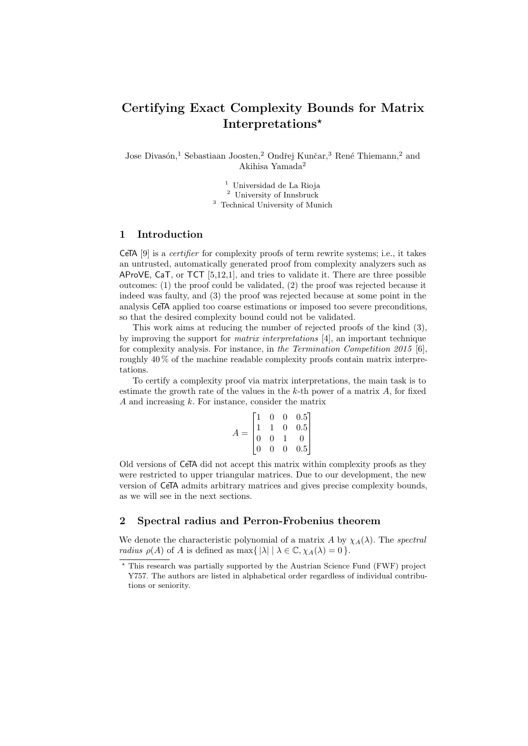# Certifying Exact Complexity Bounds for Matrix Interpretations\*

Jose Divasón,<sup>1</sup> Sebastiaan Joosten,<sup>2</sup> Ondřej Kunčar,<sup>3</sup> René Thiemann,<sup>2</sup> and Akihisa Yamada<sup>2</sup>

 $^{\rm 1}$ Universidad de La Rioja

<sup>2</sup> University of Innsbruck

<sup>3</sup> Technical University of Munich

## 1 Introduction

CeTA  $[9]$  is a *certifier* for complexity proofs of term rewrite systems; i.e., it takes an untrusted, automatically generated proof from complexity analyzers such as AProVE, CaT, or TCT [\[5,](#page-3-1)[12](#page-3-2)[,1\]](#page-3-3), and tries to validate it. There are three possible outcomes: (1) the proof could be validated, (2) the proof was rejected because it indeed was faulty, and (3) the proof was rejected because at some point in the analysis CeTA applied too coarse estimations or imposed too severe preconditions, so that the desired complexity bound could not be validated.

This work aims at reducing the number of rejected proofs of the kind (3), by improving the support for matrix interpretations [\[4\]](#page-3-4), an important technique for complexity analysis. For instance, in the Termination Competition 2015 [\[6\]](#page-3-5), roughly 40 % of the machine readable complexity proofs contain matrix interpretations.

To certify a complexity proof via matrix interpretations, the main task is to estimate the growth rate of the values in the  $k$ -th power of a matrix  $A$ , for fixed A and increasing  $k$ . For instance, consider the matrix

$$
A = \begin{bmatrix} 1 & 0 & 0 & 0.5 \\ 1 & 1 & 0 & 0.5 \\ 0 & 0 & 1 & 0 \\ 0 & 0 & 0 & 0.5 \end{bmatrix}
$$

Old versions of CeTA did not accept this matrix within complexity proofs as they were restricted to upper triangular matrices. Due to our development, the new version of CeTA admits arbitrary matrices and gives precise complexity bounds, as we will see in the next sections.

### 2 Spectral radius and Perron-Frobenius theorem

We denote the characteristic polynomial of a matrix A by  $\chi_A(\lambda)$ . The spectral *radius*  $\rho(A)$  of A is defined as max $\{ |\lambda| | \lambda \in \mathbb{C}, \chi_A(\lambda) = 0 \}.$ 

<sup>?</sup> This research was partially supported by the Austrian Science Fund (FWF) project Y757. The authors are listed in alphabetical order regardless of individual contributions or seniority.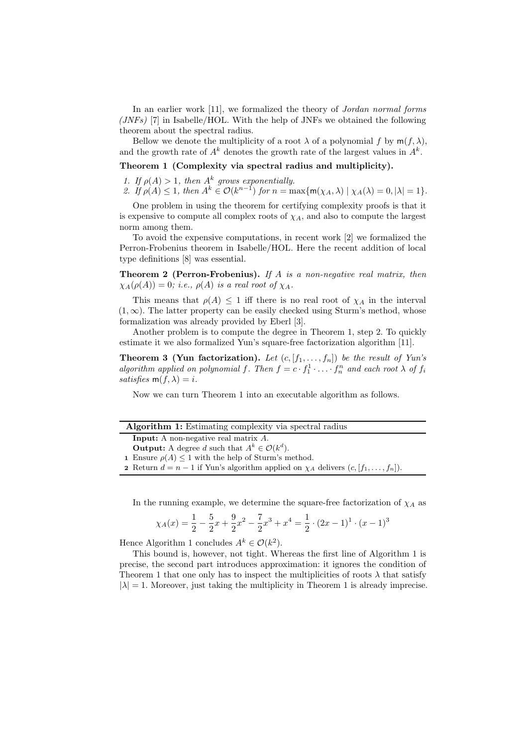In an earlier work [\[11\]](#page-3-6), we formalized the theory of *Jordan normal forms* (*JNFs*) [\[7\]](#page-3-7) in Isabelle/HOL. With the help of JNFs we obtained the following theorem about the spectral radius.

Bellow we denote the multiplicity of a root  $\lambda$  of a polynomial f by  $m(f, \lambda)$ , and the growth rate of  $A^k$  denotes the growth rate of the largest values in  $A^k$ .

Theorem 1 (Complexity via spectral radius and multiplicity).

<span id="page-1-0"></span>1. If  $\rho(A) > 1$ , then  $A^k$  grows exponentially.

<span id="page-1-1"></span>2. If  $\rho(A) \leq 1$ , then  $A^k \in \mathcal{O}(k^{n-1})$  for  $n = \max\{m(\chi_A, \lambda) \mid \chi_A(\lambda) = 0, |\lambda| = 1\}$ .

One problem in using the theorem for certifying complexity proofs is that it is expensive to compute all complex roots of  $\chi_A$ , and also to compute the largest norm among them.

To avoid the expensive computations, in recent work [\[2\]](#page-3-8) we formalized the Perron-Frobenius theorem in Isabelle/HOL. Here the recent addition of local type definitions [\[8\]](#page-3-9) was essential.

**Theorem 2 (Perron-Frobenius).** If  $A$  is a non-negative real matrix, then  $\chi_A(\rho(A)) = 0$ ; i.e.,  $\rho(A)$  is a real root of  $\chi_A$ .

This means that  $\rho(A) \leq 1$  iff there is no real root of  $\chi_A$  in the interval  $(1, \infty)$ . The latter property can be easily checked using Sturm's method, whose formalization was already provided by Eberl [\[3\]](#page-3-10).

Another problem is to compute the degree in Theorem [1,](#page-1-0) step [2.](#page-1-1) To quickly estimate it we also formalized Yun's square-free factorization algorithm [\[11\]](#page-3-6).

**Theorem 3 (Yun factorization).** Let  $(c, [f_1, \ldots, f_n])$  be the result of Yun's algorithm applied on polynomial f. Then  $f = c \cdot f_1^1 \cdot \ldots \cdot f_n^n$  and each root  $\lambda$  of  $f_i$ satisfies  $m(f, \lambda) = i$ .

Now we can turn Theorem [1](#page-1-0) into an executable algorithm as follows.

<span id="page-1-2"></span>

| <b>Algorithm 1:</b> Estimating complexity via spectral radius                                           |
|---------------------------------------------------------------------------------------------------------|
| <b>Input:</b> A non-negative real matrix $A$ .                                                          |
| <b>Output:</b> A degree d such that $A^k \in \mathcal{O}(k^d)$ .                                        |
| 1 Ensure $\rho(A) \leq 1$ with the help of Sturm's method.                                              |
| <b>2</b> Return $d = n - 1$ if Yun's algorithm applied on $\chi_A$ delivers $(c, [f_1, \ldots, f_n])$ . |
|                                                                                                         |

In the running example, we determine the square-free factorization of  $\chi_A$  as

$$
\chi_A(x) = \frac{1}{2} - \frac{5}{2}x + \frac{9}{2}x^2 - \frac{7}{2}x^3 + x^4 = \frac{1}{2} \cdot (2x - 1)^1 \cdot (x - 1)^3
$$

Hence Algorithm [1](#page-1-2) concludes  $A^k \in \mathcal{O}(k^2)$ .

This bound is, however, not tight. Whereas the first line of Algorithm [1](#page-1-2) is precise, the second part introduces approximation: it ignores the condition of Theorem [1](#page-1-0) that one only has to inspect the multiplicities of roots  $\lambda$  that satisfy  $|\lambda| = 1$  $|\lambda| = 1$ . Moreover, just taking the multiplicity in Theorem 1 is already imprecise.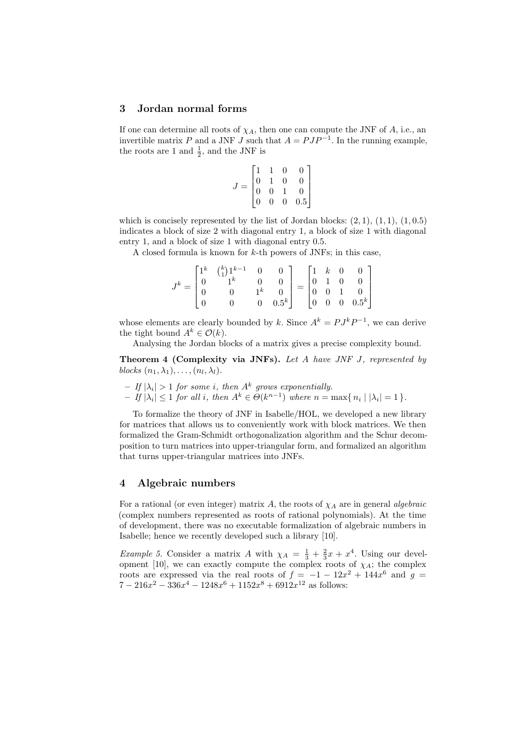#### 3 Jordan normal forms

If one can determine all roots of  $\chi_A$ , then one can compute the JNF of A, i.e., an invertible matrix P and a JNF J such that  $A = PJP^{-1}$ . In the running example, the roots are 1 and  $\frac{1}{2}$ , and the JNF is

<span id="page-2-0"></span>
$$
J = \begin{bmatrix} 1 & 1 & 0 & 0 \\ 0 & 1 & 0 & 0 \\ 0 & 0 & 1 & 0 \\ 0 & 0 & 0 & 0.5 \end{bmatrix}
$$

which is concisely represented by the list of Jordan blocks:  $(2, 1), (1, 1), (1, 0.5)$ indicates a block of size 2 with diagonal entry 1, a block of size 1 with diagonal entry 1, and a block of size 1 with diagonal entry 0.5.

A closed formula is known for  $k$ -th powers of JNFs; in this case,

|                                              | $\begin{bmatrix} 1^k & \binom{k}{1} 1^{k-1} & 0 \\ 0 & 1^k & 0 \end{bmatrix}$ |                 | $\begin{array}{c c} 0 & \end{array}$ |                                                                                                        |  |  |
|----------------------------------------------|-------------------------------------------------------------------------------|-----------------|--------------------------------------|--------------------------------------------------------------------------------------------------------|--|--|
| $J^k = \begin{bmatrix} 0 \\ 0 \end{bmatrix}$ |                                                                               | $\frac{0}{1^k}$ |                                      | $= \begin{bmatrix} 1 & k & 0 & 0 \\ 0 & 1 & 0 & 0 \\ 0 & 0 & 1 & 0 \\ 0 & 0 & 0 & 0.5^k \end{bmatrix}$ |  |  |
|                                              |                                                                               |                 |                                      |                                                                                                        |  |  |
|                                              |                                                                               |                 | $0.5^k$                              |                                                                                                        |  |  |

whose elements are clearly bounded by k. Since  $A^k = P J^k P^{-1}$ , we can derive the tight bound  $A^k \in \mathcal{O}(k)$ .

Analysing the Jordan blocks of a matrix gives a precise complexity bound.

Theorem 4 (Complexity via JNFs). Let A have JNF J, represented by blocks  $(n_1, \lambda_1), \ldots, (n_l, \lambda_l)$ .

- $-$  If  $|\lambda_i| > 1$  for some i, then  $A^k$  grows exponentially.
- $-If |\lambda_i| \leq 1$  for all i, then  $A^k \in \Theta(k^{n-1})$  where  $n = \max\{n_i | |\lambda_i| = 1\}.$

To formalize the theory of JNF in Isabelle/HOL, we developed a new library for matrices that allows us to conveniently work with block matrices. We then formalized the Gram-Schmidt orthogonalization algorithm and the Schur decomposition to turn matrices into upper-triangular form, and formalized an algorithm that turns upper-triangular matrices into JNFs.

#### 4 Algebraic numbers

For a rational (or even integer) matrix A, the roots of  $\chi_A$  are in general algebraic (complex numbers represented as roots of rational polynomials). At the time of development, there was no executable formalization of algebraic numbers in Isabelle; hence we recently developed such a library [\[10\]](#page-3-11).

*Example 5.* Consider a matrix A with  $\chi_A = \frac{1}{3} + \frac{2}{3}x + x^4$ . Using our devel-opment [\[10\]](#page-3-11), we can exactly compute the complex roots of  $\chi_A$ ; the complex roots are expressed via the real roots of  $f = -1 - 12x^2 + 144x^6$  and  $g =$  $7 - 216x^2 - 336x^4 - 1248x^6 + 1152x^8 + 6912x^{12}$  as follows: